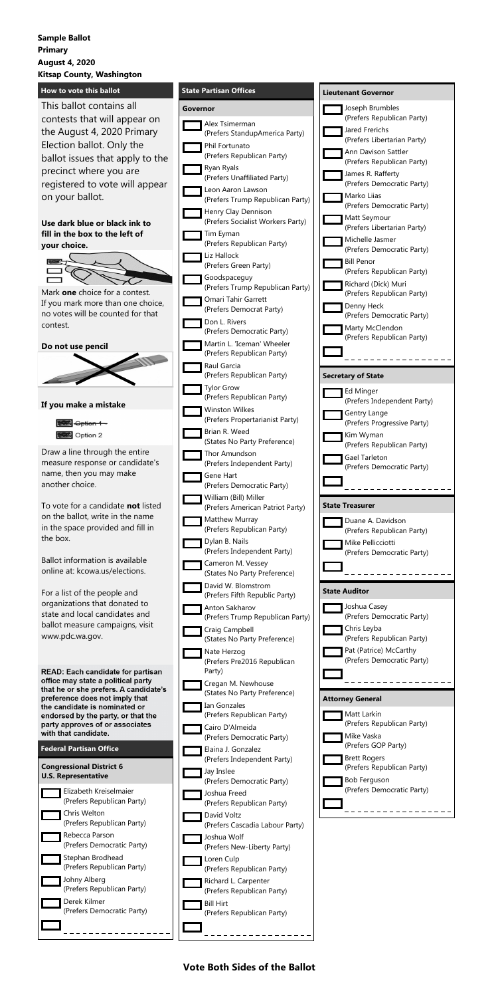**Vote Both Sides of the Ballot**

# **Sample Ballot Primary August 4, 2020 Kitsap County, Washington**